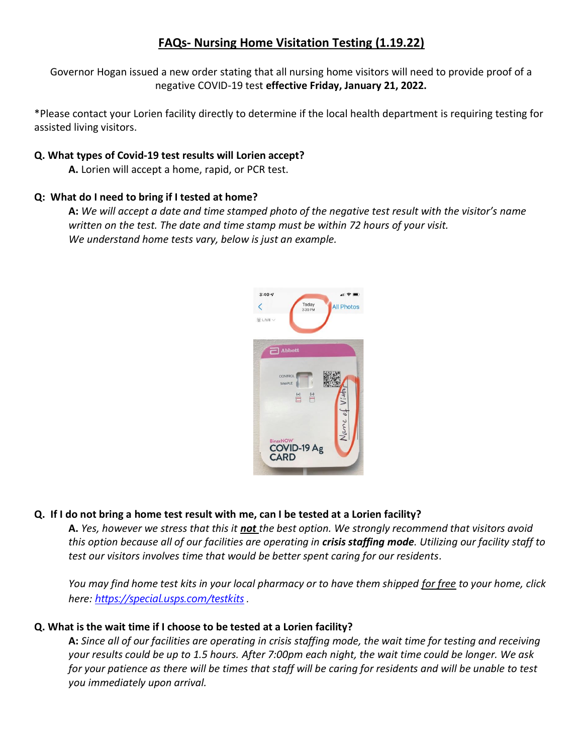# **FAQs- Nursing Home Visitation Testing (1.19.22)**

Governor Hogan issued a new order stating that all nursing home visitors will need to provide proof of a negative COVID-19 test **effective Friday, January 21, 2022.**

\*Please contact your Lorien facility directly to determine if the local health department is requiring testing for assisted living visitors.

### **Q. What types of Covid-19 test results will Lorien accept?**

**A.** Lorien will accept a home, rapid, or PCR test.

### **Q: What do I need to bring if I tested at home?**

**A:** *We will accept a date and time stamped photo of the negative test result with the visitor's name written on the test. The date and time stamp must be within 72 hours of your visit. We understand home tests vary, below is just an example.*



## **Q. If I do not bring a home test result with me, can I be tested at a Lorien facility?**

**A.** *Yes, however we stress that this it not the best option. We strongly recommend that visitors avoid this option because all of our facilities are operating in crisis staffing mode. Utilizing our facility staff to test our visitors involves time that would be better spent caring for our residents.*

*You may find home test kits in your local pharmacy or to have them shipped for free to your home, click here: <https://special.usps.com/testkits> .*

## **Q. What is the wait time if I choose to be tested at a Lorien facility?**

**A:** *Since all of our facilities are operating in crisis staffing mode, the wait time for testing and receiving your results could be up to 1.5 hours. After 7:00pm each night, the wait time could be longer. We ask for your patience as there will be times that staff will be caring for residents and will be unable to test you immediately upon arrival.*